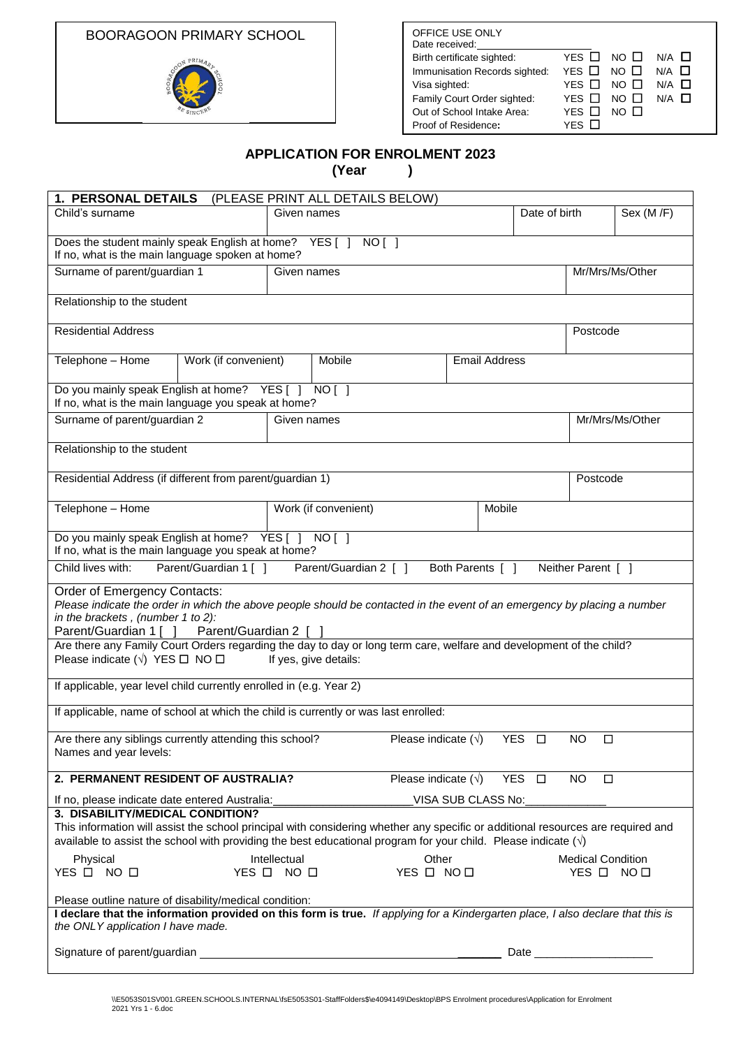## BOORAGOON PRIMARY SCHOOL



| OFFICE USE ONLY<br>Date received: |            |                  |              |
|-----------------------------------|------------|------------------|--------------|
| Birth certificate sighted:        | YES IT     | NO <sub>1</sub>  | $N/A$ $\Box$ |
| Immunisation Records sighted:     | YES $\Box$ | $NO$ $\Box$      | $N/A$ $\Box$ |
| Visa sighted:                     | YES $\Pi$  | NO <sub>II</sub> | N/A          |
| Family Court Order sighted:       | YES IT     | NO II            | N/A          |
| Out of School Intake Area:        | YES IT     | NO II            |              |
| Proof of Residence:               | YFS.       |                  |              |
|                                   |            |                  |              |

## **APPLICATION FOR ENROLMENT 2023 (Year )**

| 1. PERSONAL DETAILS (PLEASE PRINT ALL DETAILS BELOW)                                                                                                                                                                                                                                         |                                                           |                            |                       |                             |                  |                 |                    |                                             |  |  |
|----------------------------------------------------------------------------------------------------------------------------------------------------------------------------------------------------------------------------------------------------------------------------------------------|-----------------------------------------------------------|----------------------------|-----------------------|-----------------------------|------------------|-----------------|--------------------|---------------------------------------------|--|--|
| Child's surname                                                                                                                                                                                                                                                                              |                                                           | Given names                |                       |                             |                  | Date of birth   |                    | Sex (M/F)                                   |  |  |
|                                                                                                                                                                                                                                                                                              |                                                           |                            | YES[] NO[]            |                             |                  |                 |                    |                                             |  |  |
| Does the student mainly speak English at home?<br>If no, what is the main language spoken at home?                                                                                                                                                                                           |                                                           |                            |                       |                             |                  |                 |                    |                                             |  |  |
| Surname of parent/guardian 1                                                                                                                                                                                                                                                                 |                                                           | Given names                |                       |                             |                  |                 |                    | Mr/Mrs/Ms/Other                             |  |  |
| Relationship to the student                                                                                                                                                                                                                                                                  |                                                           |                            |                       |                             |                  |                 |                    |                                             |  |  |
| <b>Residential Address</b>                                                                                                                                                                                                                                                                   |                                                           |                            |                       |                             |                  |                 | Postcode           |                                             |  |  |
| Telephone - Home                                                                                                                                                                                                                                                                             | Work (if convenient)                                      |                            | Mobile                |                             |                  |                 |                    |                                             |  |  |
| Do you mainly speak English at home? YES [ ] NO [ ]<br>If no, what is the main language you speak at home?                                                                                                                                                                                   |                                                           |                            |                       |                             |                  |                 |                    |                                             |  |  |
|                                                                                                                                                                                                                                                                                              | Surname of parent/guardian 2<br>Given names               |                            |                       |                             |                  | Mr/Mrs/Ms/Other |                    |                                             |  |  |
| Relationship to the student                                                                                                                                                                                                                                                                  |                                                           |                            |                       |                             |                  |                 |                    |                                             |  |  |
|                                                                                                                                                                                                                                                                                              | Residential Address (if different from parent/guardian 1) |                            |                       |                             |                  |                 |                    | Postcode                                    |  |  |
| Telephone $-$ Home                                                                                                                                                                                                                                                                           |                                                           |                            | Work (if convenient)  |                             | Mobile           |                 |                    |                                             |  |  |
| Do you mainly speak English at home? YES [ ] NO [ ]<br>If no, what is the main language you speak at home?                                                                                                                                                                                   |                                                           |                            |                       |                             |                  |                 |                    |                                             |  |  |
| Child lives with:                                                                                                                                                                                                                                                                            | Parent/Guardian 1 [ ]                                     |                            | Parent/Guardian 2 [ ] |                             | Both Parents [ ] |                 | Neither Parent [ ] |                                             |  |  |
| Order of Emergency Contacts:<br>Please indicate the order in which the above people should be contacted in the event of an emergency by placing a number<br>in the brackets, (number 1 to 2):<br>Parent/Guardian 2                                                                           |                                                           |                            |                       |                             |                  |                 |                    |                                             |  |  |
| Parent/Guardian 1 [ ]<br>Are there any Family Court Orders regarding the day to day or long term care, welfare and development of the child?<br>Please indicate ( $\sqrt{ }$ ) YES $\Box$ NO $\Box$<br>If yes, give details:                                                                 |                                                           |                            |                       |                             |                  |                 |                    |                                             |  |  |
| If applicable, year level child currently enrolled in (e.g. Year 2)                                                                                                                                                                                                                          |                                                           |                            |                       |                             |                  |                 |                    |                                             |  |  |
| If applicable, name of school at which the child is currently or was last enrolled:                                                                                                                                                                                                          |                                                           |                            |                       |                             |                  |                 |                    |                                             |  |  |
| Are there any siblings currently attending this school?<br>Names and year levels:                                                                                                                                                                                                            |                                                           |                            |                       | Please indicate $(\sqrt{})$ |                  | YES<br>$\Box$   | <b>NO</b>          | □                                           |  |  |
| 2. PERMANENT RESIDENT OF AUSTRALIA?<br>Please indicate $(\sqrt{})$<br>YES O                                                                                                                                                                                                                  |                                                           |                            |                       |                             |                  | <b>NO</b>       | $\Box$             |                                             |  |  |
| If no, please indicate date entered Australia:                                                                                                                                                                                                                                               |                                                           |                            |                       | VISA SUB CLASS No:          |                  |                 |                    |                                             |  |  |
| 3. DISABILITY/MEDICAL CONDITION?<br>This information will assist the school principal with considering whether any specific or additional resources are required and<br>available to assist the school with providing the best educational program for your child. Please indicate $(\sqrt)$ |                                                           |                            |                       |                             |                  |                 |                    |                                             |  |  |
| Physical<br>YES O NO O                                                                                                                                                                                                                                                                       |                                                           | Intellectual<br>YES O NO O |                       | Other<br>YES O NOO          |                  |                 | YES O              | <b>Medical Condition</b><br>NO <sub>1</sub> |  |  |
| Please outline nature of disability/medical condition:<br>I declare that the information provided on this form is true. If applying for a Kindergarten place, I also declare that this is<br>the ONLY application I have made.                                                               |                                                           |                            |                       |                             |                  |                 |                    |                                             |  |  |
|                                                                                                                                                                                                                                                                                              |                                                           |                            |                       |                             |                  |                 |                    |                                             |  |  |